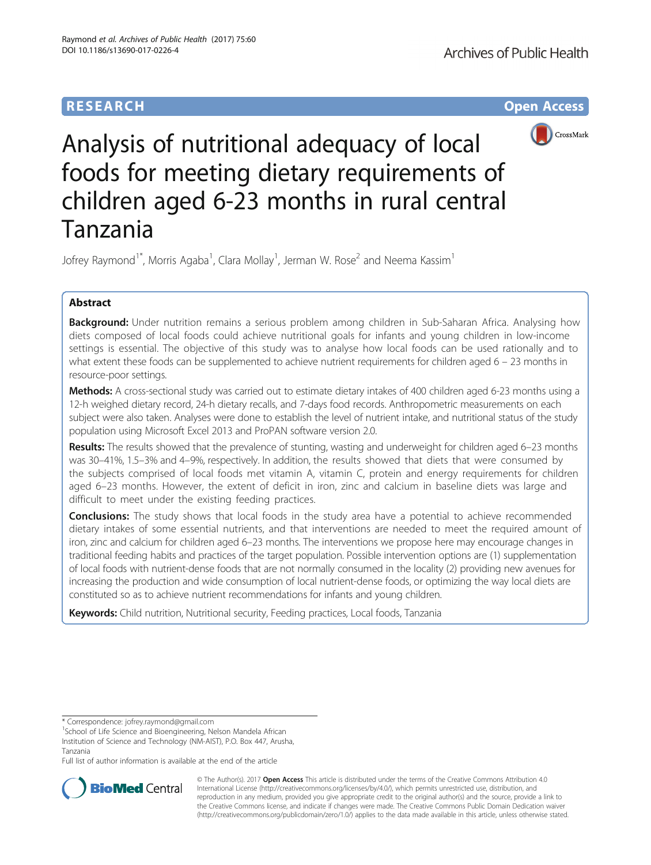# **RESEARCH CHE Open Access**



Analysis of nutritional adequacy of local foods for meeting dietary requirements of children aged 6-23 months in rural central Tanzania

Jofrey Raymond<sup>1\*</sup>, Morris Agaba<sup>1</sup>, Clara Mollay<sup>1</sup>, Jerman W. Rose<sup>2</sup> and Neema Kassim<sup>1</sup>

# Abstract

Background: Under nutrition remains a serious problem among children in Sub-Saharan Africa. Analysing how diets composed of local foods could achieve nutritional goals for infants and young children in low-income settings is essential. The objective of this study was to analyse how local foods can be used rationally and to what extent these foods can be supplemented to achieve nutrient requirements for children aged 6 – 23 months in resource-poor settings.

Methods: A cross-sectional study was carried out to estimate dietary intakes of 400 children aged 6-23 months using a 12-h weighed dietary record, 24-h dietary recalls, and 7-days food records. Anthropometric measurements on each subject were also taken. Analyses were done to establish the level of nutrient intake, and nutritional status of the study population using Microsoft Excel 2013 and ProPAN software version 2.0.

Results: The results showed that the prevalence of stunting, wasting and underweight for children aged 6–23 months was 30–41%, 1.5–3% and 4–9%, respectively. In addition, the results showed that diets that were consumed by the subjects comprised of local foods met vitamin A, vitamin C, protein and energy requirements for children aged 6–23 months. However, the extent of deficit in iron, zinc and calcium in baseline diets was large and difficult to meet under the existing feeding practices.

**Conclusions:** The study shows that local foods in the study area have a potential to achieve recommended dietary intakes of some essential nutrients, and that interventions are needed to meet the required amount of iron, zinc and calcium for children aged 6–23 months. The interventions we propose here may encourage changes in traditional feeding habits and practices of the target population. Possible intervention options are (1) supplementation of local foods with nutrient-dense foods that are not normally consumed in the locality (2) providing new avenues for increasing the production and wide consumption of local nutrient-dense foods, or optimizing the way local diets are constituted so as to achieve nutrient recommendations for infants and young children.

Keywords: Child nutrition, Nutritional security, Feeding practices, Local foods, Tanzania

\* Correspondence: [jofrey.raymond@gmail.com](mailto:jofrey.raymond@gmail.com) <sup>1</sup>

<sup>1</sup>School of Life Science and Bioengineering, Nelson Mandela African Institution of Science and Technology (NM-AIST), P.O. Box 447, Arusha, Tanzania

Full list of author information is available at the end of the article



© The Author(s). 2017 **Open Access** This article is distributed under the terms of the Creative Commons Attribution 4.0 International License [\(http://creativecommons.org/licenses/by/4.0/](http://creativecommons.org/licenses/by/4.0/)), which permits unrestricted use, distribution, and reproduction in any medium, provided you give appropriate credit to the original author(s) and the source, provide a link to the Creative Commons license, and indicate if changes were made. The Creative Commons Public Domain Dedication waiver [\(http://creativecommons.org/publicdomain/zero/1.0/](http://creativecommons.org/publicdomain/zero/1.0/)) applies to the data made available in this article, unless otherwise stated.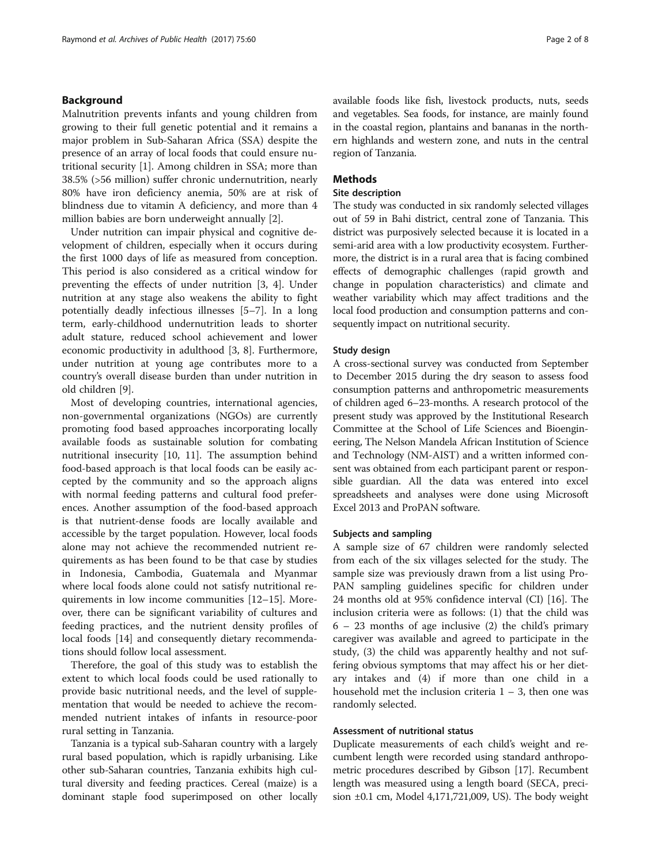# Background

Malnutrition prevents infants and young children from growing to their full genetic potential and it remains a major problem in Sub-Saharan Africa (SSA) despite the presence of an array of local foods that could ensure nutritional security [[1\]](#page-6-0). Among children in SSA; more than 38.5% (>56 million) suffer chronic undernutrition, nearly 80% have iron deficiency anemia, 50% are at risk of blindness due to vitamin A deficiency, and more than 4 million babies are born underweight annually [\[2\]](#page-6-0).

Under nutrition can impair physical and cognitive development of children, especially when it occurs during the first 1000 days of life as measured from conception. This period is also considered as a critical window for preventing the effects of under nutrition [\[3](#page-6-0), [4\]](#page-7-0). Under nutrition at any stage also weakens the ability to fight potentially deadly infectious illnesses [[5](#page-7-0)–[7\]](#page-7-0). In a long term, early-childhood undernutrition leads to shorter adult stature, reduced school achievement and lower economic productivity in adulthood [\[3](#page-6-0), [8\]](#page-7-0). Furthermore, under nutrition at young age contributes more to a country's overall disease burden than under nutrition in old children [\[9](#page-7-0)].

Most of developing countries, international agencies, non-governmental organizations (NGOs) are currently promoting food based approaches incorporating locally available foods as sustainable solution for combating nutritional insecurity [[10, 11](#page-7-0)]. The assumption behind food-based approach is that local foods can be easily accepted by the community and so the approach aligns with normal feeding patterns and cultural food preferences. Another assumption of the food-based approach is that nutrient-dense foods are locally available and accessible by the target population. However, local foods alone may not achieve the recommended nutrient requirements as has been found to be that case by studies in Indonesia, Cambodia, Guatemala and Myanmar where local foods alone could not satisfy nutritional requirements in low income communities [\[12](#page-7-0)–[15\]](#page-7-0). Moreover, there can be significant variability of cultures and feeding practices, and the nutrient density profiles of local foods [[14](#page-7-0)] and consequently dietary recommendations should follow local assessment.

Therefore, the goal of this study was to establish the extent to which local foods could be used rationally to provide basic nutritional needs, and the level of supplementation that would be needed to achieve the recommended nutrient intakes of infants in resource-poor rural setting in Tanzania.

Tanzania is a typical sub-Saharan country with a largely rural based population, which is rapidly urbanising. Like other sub-Saharan countries, Tanzania exhibits high cultural diversity and feeding practices. Cereal (maize) is a dominant staple food superimposed on other locally available foods like fish, livestock products, nuts, seeds and vegetables. Sea foods, for instance, are mainly found in the coastal region, plantains and bananas in the northern highlands and western zone, and nuts in the central region of Tanzania.

# **Methods**

### Site description

The study was conducted in six randomly selected villages out of 59 in Bahi district, central zone of Tanzania. This district was purposively selected because it is located in a semi-arid area with a low productivity ecosystem. Furthermore, the district is in a rural area that is facing combined effects of demographic challenges (rapid growth and change in population characteristics) and climate and weather variability which may affect traditions and the local food production and consumption patterns and consequently impact on nutritional security.

# Study design

A cross-sectional survey was conducted from September to December 2015 during the dry season to assess food consumption patterns and anthropometric measurements of children aged 6–23-months. A research protocol of the present study was approved by the Institutional Research Committee at the School of Life Sciences and Bioengineering, The Nelson Mandela African Institution of Science and Technology (NM-AIST) and a written informed consent was obtained from each participant parent or responsible guardian. All the data was entered into excel spreadsheets and analyses were done using Microsoft Excel 2013 and ProPAN software.

### Subjects and sampling

A sample size of 67 children were randomly selected from each of the six villages selected for the study. The sample size was previously drawn from a list using Pro-PAN sampling guidelines specific for children under 24 months old at 95% confidence interval (CI) [[16\]](#page-7-0). The inclusion criteria were as follows: (1) that the child was 6 – 23 months of age inclusive (2) the child's primary caregiver was available and agreed to participate in the study, (3) the child was apparently healthy and not suffering obvious symptoms that may affect his or her dietary intakes and (4) if more than one child in a household met the inclusion criteria  $1 - 3$ , then one was randomly selected.

### Assessment of nutritional status

Duplicate measurements of each child's weight and recumbent length were recorded using standard anthropometric procedures described by Gibson [\[17\]](#page-7-0). Recumbent length was measured using a length board (SECA, precision ±0.1 cm, Model 4,171,721,009, US). The body weight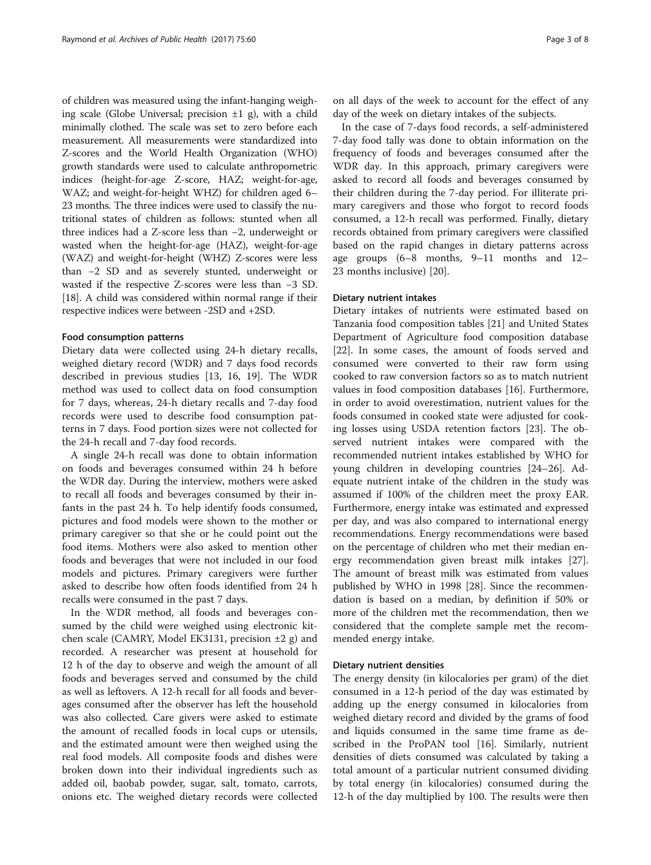of children was measured using the infant-hanging weighing scale (Globe Universal; precision  $\pm 1$  g), with a child minimally clothed. The scale was set to zero before each measurement. All measurements were standardized into Z-scores and the World Health Organization (WHO) growth standards were used to calculate anthropometric indices (height-for-age Z-score, HAZ; weight-for-age, WAZ; and weight-for-height WHZ) for children aged 6– 23 months. The three indices were used to classify the nutritional states of children as follows: stunted when all three indices had a Z-score less than −2, underweight or wasted when the height-for-age (HAZ), weight-for-age (WAZ) and weight-for-height (WHZ) Z-scores were less than −2 SD and as severely stunted, underweight or wasted if the respective Z-scores were less than −3 SD. [[18](#page-7-0)]. A child was considered within normal range if their respective indices were between -2SD and +2SD.

# Food consumption patterns

Dietary data were collected using 24-h dietary recalls, weighed dietary record (WDR) and 7 days food records described in previous studies [[13, 16, 19](#page-7-0)]. The WDR method was used to collect data on food consumption for 7 days, whereas, 24-h dietary recalls and 7-day food records were used to describe food consumption patterns in 7 days. Food portion sizes were not collected for the 24-h recall and 7-day food records.

A single 24-h recall was done to obtain information on foods and beverages consumed within 24 h before the WDR day. During the interview, mothers were asked to recall all foods and beverages consumed by their infants in the past 24 h. To help identify foods consumed, pictures and food models were shown to the mother or primary caregiver so that she or he could point out the food items. Mothers were also asked to mention other foods and beverages that were not included in our food models and pictures. Primary caregivers were further asked to describe how often foods identified from 24 h recalls were consumed in the past 7 days.

In the WDR method, all foods and beverages consumed by the child were weighed using electronic kitchen scale (CAMRY, Model EK3131, precision ±2 g) and recorded. A researcher was present at household for 12 h of the day to observe and weigh the amount of all foods and beverages served and consumed by the child as well as leftovers. A 12-h recall for all foods and beverages consumed after the observer has left the household was also collected. Care givers were asked to estimate the amount of recalled foods in local cups or utensils, and the estimated amount were then weighed using the real food models. All composite foods and dishes were broken down into their individual ingredients such as added oil, baobab powder, sugar, salt, tomato, carrots, onions etc. The weighed dietary records were collected

on all days of the week to account for the effect of any day of the week on dietary intakes of the subjects.

In the case of 7-days food records, a self-administered 7-day food tally was done to obtain information on the frequency of foods and beverages consumed after the WDR day. In this approach, primary caregivers were asked to record all foods and beverages consumed by their children during the 7-day period. For illiterate primary caregivers and those who forgot to record foods consumed, a 12-h recall was performed. Finally, dietary records obtained from primary caregivers were classified based on the rapid changes in dietary patterns across age groups (6–8 months, 9–11 months and 12– 23 months inclusive) [\[20\]](#page-7-0).

# Dietary nutrient intakes

Dietary intakes of nutrients were estimated based on Tanzania food composition tables [\[21](#page-7-0)] and United States Department of Agriculture food composition database [[22\]](#page-7-0). In some cases, the amount of foods served and consumed were converted to their raw form using cooked to raw conversion factors so as to match nutrient values in food composition databases [[16\]](#page-7-0). Furthermore, in order to avoid overestimation, nutrient values for the foods consumed in cooked state were adjusted for cooking losses using USDA retention factors [\[23](#page-7-0)]. The observed nutrient intakes were compared with the recommended nutrient intakes established by WHO for young children in developing countries [\[24](#page-7-0)–[26\]](#page-7-0). Adequate nutrient intake of the children in the study was assumed if 100% of the children meet the proxy EAR. Furthermore, energy intake was estimated and expressed per day, and was also compared to international energy recommendations. Energy recommendations were based on the percentage of children who met their median energy recommendation given breast milk intakes [\[27](#page-7-0)]. The amount of breast milk was estimated from values published by WHO in 1998 [\[28](#page-7-0)]. Since the recommendation is based on a median, by definition if 50% or more of the children met the recommendation, then we considered that the complete sample met the recommended energy intake.

### Dietary nutrient densities

The energy density (in kilocalories per gram) of the diet consumed in a 12-h period of the day was estimated by adding up the energy consumed in kilocalories from weighed dietary record and divided by the grams of food and liquids consumed in the same time frame as described in the ProPAN tool [\[16](#page-7-0)]. Similarly, nutrient densities of diets consumed was calculated by taking a total amount of a particular nutrient consumed dividing by total energy (in kilocalories) consumed during the 12-h of the day multiplied by 100. The results were then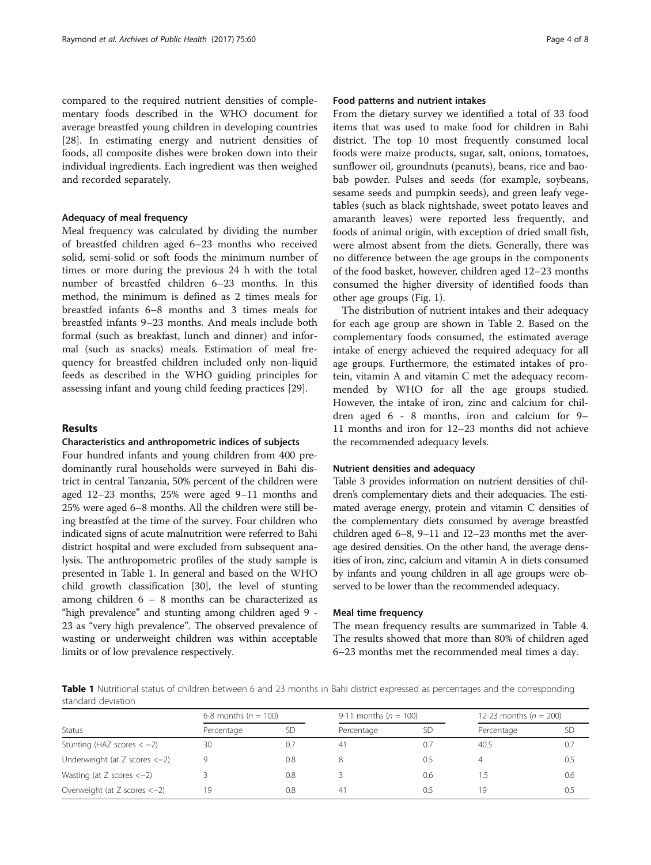<span id="page-3-0"></span>compared to the required nutrient densities of complementary foods described in the WHO document for average breastfed young children in developing countries [[28\]](#page-7-0). In estimating energy and nutrient densities of foods, all composite dishes were broken down into their individual ingredients. Each ingredient was then weighed and recorded separately.

# Adequacy of meal frequency

Meal frequency was calculated by dividing the number of breastfed children aged 6–23 months who received solid, semi-solid or soft foods the minimum number of times or more during the previous 24 h with the total number of breastfed children 6–23 months. In this method, the minimum is defined as 2 times meals for breastfed infants 6–8 months and 3 times meals for breastfed infants 9–23 months. And meals include both formal (such as breakfast, lunch and dinner) and informal (such as snacks) meals. Estimation of meal frequency for breastfed children included only non-liquid feeds as described in the WHO guiding principles for assessing infant and young child feeding practices [[29](#page-7-0)].

# Results

# Characteristics and anthropometric indices of subjects

Four hundred infants and young children from 400 predominantly rural households were surveyed in Bahi district in central Tanzania, 50% percent of the children were aged 12–23 months, 25% were aged 9–11 months and 25% were aged 6–8 months. All the children were still being breastfed at the time of the survey. Four children who indicated signs of acute malnutrition were referred to Bahi district hospital and were excluded from subsequent analysis. The anthropometric profiles of the study sample is presented in Table 1. In general and based on the WHO child growth classification [\[30\]](#page-7-0), the level of stunting among children 6 – 8 months can be characterized as "high prevalence" and stunting among children aged 9 - 23 as "very high prevalence". The observed prevalence of wasting or underweight children was within acceptable limits or of low prevalence respectively.

# Food patterns and nutrient intakes

From the dietary survey we identified a total of 33 food items that was used to make food for children in Bahi district. The top 10 most frequently consumed local foods were maize products, sugar, salt, onions, tomatoes, sunflower oil, groundnuts (peanuts), beans, rice and baobab powder. Pulses and seeds (for example, soybeans, sesame seeds and pumpkin seeds), and green leafy vegetables (such as black nightshade, sweet potato leaves and amaranth leaves) were reported less frequently, and foods of animal origin, with exception of dried small fish, were almost absent from the diets. Generally, there was no difference between the age groups in the components of the food basket, however, children aged 12–23 months consumed the higher diversity of identified foods than other age groups (Fig. [1](#page-4-0)).

The distribution of nutrient intakes and their adequacy for each age group are shown in Table [2.](#page-4-0) Based on the complementary foods consumed, the estimated average intake of energy achieved the required adequacy for all age groups. Furthermore, the estimated intakes of protein, vitamin A and vitamin C met the adequacy recommended by WHO for all the age groups studied. However, the intake of iron, zinc and calcium for children aged 6 - 8 months, iron and calcium for 9– 11 months and iron for 12–23 months did not achieve the recommended adequacy levels.

# Nutrient densities and adequacy

Table [3](#page-5-0) provides information on nutrient densities of children's complementary diets and their adequacies. The estimated average energy, protein and vitamin C densities of the complementary diets consumed by average breastfed children aged 6–8, 9–11 and 12–23 months met the average desired densities. On the other hand, the average densities of iron, zinc, calcium and vitamin A in diets consumed by infants and young children in all age groups were observed to be lower than the recommended adequacy.

# Meal time frequency

The mean frequency results are summarized in Table [4](#page-5-0). The results showed that more than 80% of children aged 6–23 months met the recommended meal times a day.

Table 1 Nutritional status of children between 6 and 23 months in Bahi district expressed as percentages and the corresponding standard deviation

| <b>Status</b>                               | 6-8 months ( $n = 100$ ) |     | 9-11 months ( $n = 100$ ) |     | 12-23 months ( $n = 200$ ) |     |
|---------------------------------------------|--------------------------|-----|---------------------------|-----|----------------------------|-----|
|                                             | Percentage               | SD  | Percentage                | SD  | Percentage                 | SD  |
| Stunting (HAZ scores $<-2$ )                | 30                       | 0.7 | 41                        | 0.7 | 40.5                       | 0.7 |
| Underweight (at $Z$ scores $<-2$ )          |                          | 0.8 |                           | 0.5 |                            | 0.5 |
| Wasting (at $Z$ scores $\langle -2 \rangle$ |                          | 0.8 |                           | 0.6 |                            | 0.6 |
| Overweight (at $Z$ scores $<-2$ )           | 19                       | 0.8 | 41                        | 0.5 | 19                         | 0.5 |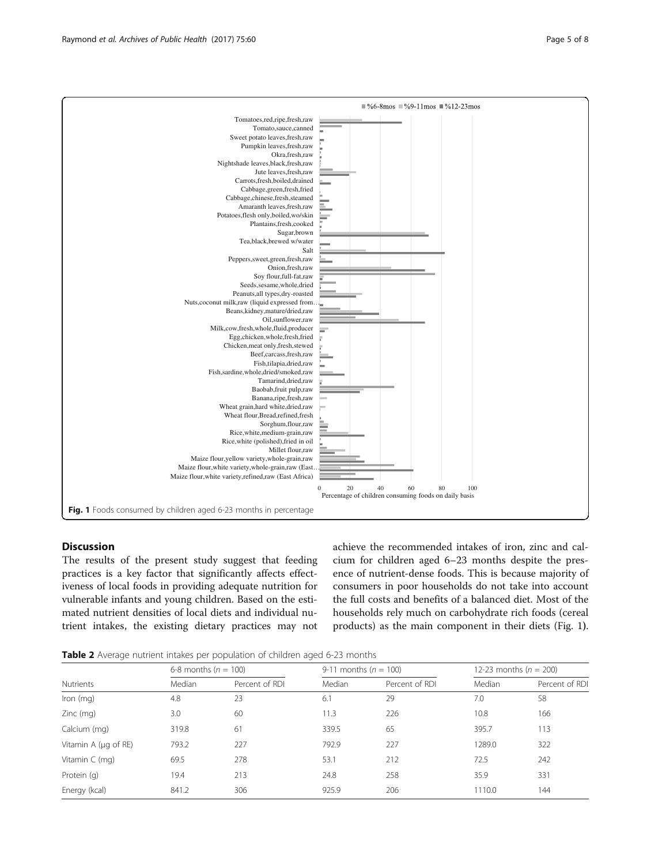<span id="page-4-0"></span>

# **Discussion**

The results of the present study suggest that feeding practices is a key factor that significantly affects effectiveness of local foods in providing adequate nutrition for vulnerable infants and young children. Based on the estimated nutrient densities of local diets and individual nutrient intakes, the existing dietary practices may not achieve the recommended intakes of iron, zinc and calcium for children aged 6–23 months despite the presence of nutrient-dense foods. This is because majority of consumers in poor households do not take into account the full costs and benefits of a balanced diet. Most of the households rely much on carbohydrate rich foods (cereal products) as the main component in their diets (Fig. 1).

Table 2 Average nutrient intakes per population of children aged 6-23 months

|                      |        | 6-8 months ( $n = 100$ ) |        | 9-11 months ( $n = 100$ ) |        | 12-23 months ( $n = 200$ ) |  |
|----------------------|--------|--------------------------|--------|---------------------------|--------|----------------------------|--|
| Nutrients            | Median | Percent of RDI           | Median | Percent of RDI            | Median | Percent of RDI             |  |
| Iron (mg)            | 4.8    | 23                       | 6.1    | 29                        | 7.0    | 58                         |  |
| Zinc (mg)            | 3.0    | 60                       | 11.3   | 226                       | 10.8   | 166                        |  |
| Calcium (mg)         | 319.8  | 61                       | 339.5  | 65                        | 395.7  | 113                        |  |
| Vitamin A (µg of RE) | 793.2  | 227                      | 792.9  | 227                       | 1289.0 | 322                        |  |
| Vitamin $C$ (mg)     | 69.5   | 278                      | 53.1   | 212                       | 72.5   | 242                        |  |
| Protein (q)          | 19.4   | 213                      | 24.8   | 258                       | 35.9   | 331                        |  |
| Energy (kcal)        | 841.2  | 306                      | 925.9  | 206                       | 1110.0 | 144                        |  |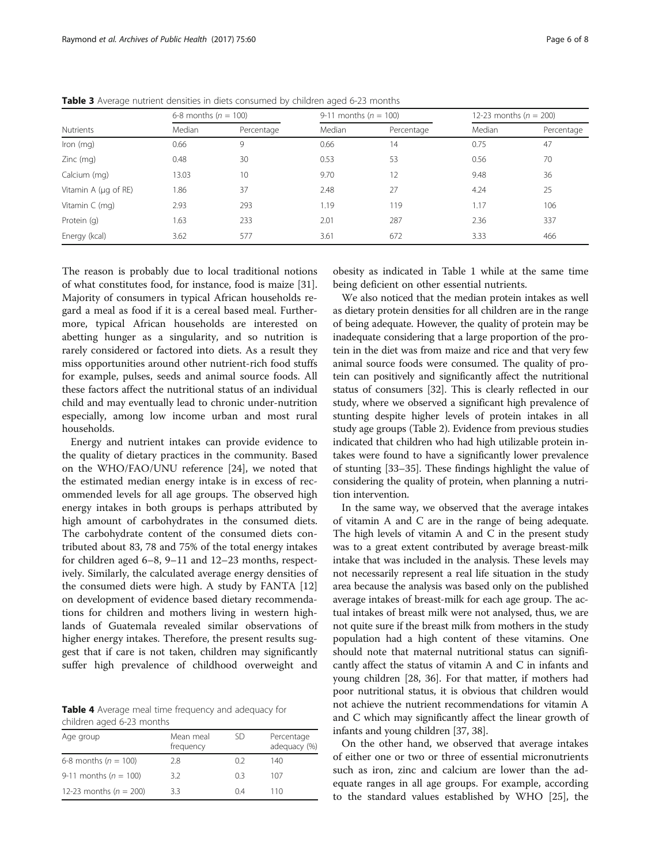|                            | 6-8 months ( $n = 100$ ) |            |        | 9-11 months ( $n = 100$ ) |        | 12-23 months ( $n = 200$ ) |  |
|----------------------------|--------------------------|------------|--------|---------------------------|--------|----------------------------|--|
| <b>Nutrients</b>           | Median                   | Percentage | Median | Percentage                | Median | Percentage                 |  |
| Iron $(mq)$                | 0.66                     | 9          | 0.66   | 14                        | 0.75   | 47                         |  |
| Zinc (mg)                  | 0.48                     | 30         | 0.53   | 53                        | 0.56   | 70                         |  |
| Calcium (mg)               | 13.03                    | 10         | 9.70   | 12                        | 9.48   | 36                         |  |
| Vitamin A ( $\mu$ g of RE) | 1.86                     | 37         | 2.48   | 27                        | 4.24   | 25                         |  |
| Vitamin $C$ (mg)           | 2.93                     | 293        | 1.19   | 119                       | 1.17   | 106                        |  |
| Protein (q)                | 1.63                     | 233        | 2.01   | 287                       | 2.36   | 337                        |  |
| Energy (kcal)              | 3.62                     | 577        | 3.61   | 672                       | 3.33   | 466                        |  |

<span id="page-5-0"></span>Table 3 Average nutrient densities in diets consumed by children aged 6-23 months

The reason is probably due to local traditional notions of what constitutes food, for instance, food is maize [\[31](#page-7-0)]. Majority of consumers in typical African households regard a meal as food if it is a cereal based meal. Furthermore, typical African households are interested on abetting hunger as a singularity, and so nutrition is rarely considered or factored into diets. As a result they miss opportunities around other nutrient-rich food stuffs for example, pulses, seeds and animal source foods. All these factors affect the nutritional status of an individual child and may eventually lead to chronic under-nutrition especially, among low income urban and most rural households.

Energy and nutrient intakes can provide evidence to the quality of dietary practices in the community. Based on the WHO/FAO/UNU reference [[24\]](#page-7-0), we noted that the estimated median energy intake is in excess of recommended levels for all age groups. The observed high energy intakes in both groups is perhaps attributed by high amount of carbohydrates in the consumed diets. The carbohydrate content of the consumed diets contributed about 83, 78 and 75% of the total energy intakes for children aged 6–8, 9–11 and 12–23 months, respectively. Similarly, the calculated average energy densities of the consumed diets were high. A study by FANTA [[12](#page-7-0)] on development of evidence based dietary recommendations for children and mothers living in western highlands of Guatemala revealed similar observations of higher energy intakes. Therefore, the present results suggest that if care is not taken, children may significantly suffer high prevalence of childhood overweight and

Table 4 Average meal time frequency and adequacy for children aged 6-23 months

| Age group                  | Mean meal<br>frequency | SD  | Percentage<br>adequacy (%) |
|----------------------------|------------------------|-----|----------------------------|
| 6-8 months ( $n = 100$ )   | 2.8                    | 0.2 | 140                        |
| 9-11 months ( $n = 100$ )  | 3.2                    | 0.3 | 107                        |
| 12-23 months ( $n = 200$ ) | 33                     | 04  | 110                        |

obesity as indicated in Table [1](#page-3-0) while at the same time being deficient on other essential nutrients.

We also noticed that the median protein intakes as well as dietary protein densities for all children are in the range of being adequate. However, the quality of protein may be inadequate considering that a large proportion of the protein in the diet was from maize and rice and that very few animal source foods were consumed. The quality of protein can positively and significantly affect the nutritional status of consumers [\[32\]](#page-7-0). This is clearly reflected in our study, where we observed a significant high prevalence of stunting despite higher levels of protein intakes in all study age groups (Table [2\)](#page-4-0). Evidence from previous studies indicated that children who had high utilizable protein intakes were found to have a significantly lower prevalence of stunting [\[33](#page-7-0)–[35](#page-7-0)]. These findings highlight the value of considering the quality of protein, when planning a nutrition intervention.

In the same way, we observed that the average intakes of vitamin A and C are in the range of being adequate. The high levels of vitamin A and C in the present study was to a great extent contributed by average breast-milk intake that was included in the analysis. These levels may not necessarily represent a real life situation in the study area because the analysis was based only on the published average intakes of breast-milk for each age group. The actual intakes of breast milk were not analysed, thus, we are not quite sure if the breast milk from mothers in the study population had a high content of these vitamins. One should note that maternal nutritional status can significantly affect the status of vitamin A and C in infants and young children [\[28, 36\]](#page-7-0). For that matter, if mothers had poor nutritional status, it is obvious that children would not achieve the nutrient recommendations for vitamin A and C which may significantly affect the linear growth of infants and young children [[37](#page-7-0), [38\]](#page-7-0).

On the other hand, we observed that average intakes of either one or two or three of essential micronutrients such as iron, zinc and calcium are lower than the adequate ranges in all age groups. For example, according to the standard values established by WHO [\[25](#page-7-0)], the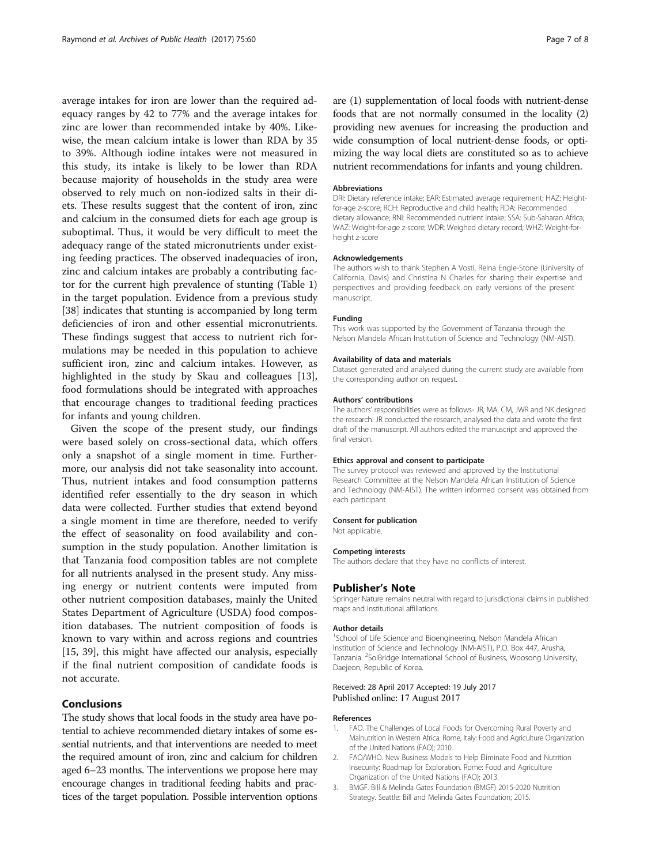<span id="page-6-0"></span>average intakes for iron are lower than the required adequacy ranges by 42 to 77% and the average intakes for zinc are lower than recommended intake by 40%. Likewise, the mean calcium intake is lower than RDA by 35 to 39%. Although iodine intakes were not measured in this study, its intake is likely to be lower than RDA because majority of households in the study area were observed to rely much on non-iodized salts in their diets. These results suggest that the content of iron, zinc and calcium in the consumed diets for each age group is suboptimal. Thus, it would be very difficult to meet the adequacy range of the stated micronutrients under existing feeding practices. The observed inadequacies of iron, zinc and calcium intakes are probably a contributing factor for the current high prevalence of stunting (Table [1](#page-3-0)) in the target population. Evidence from a previous study [[38\]](#page-7-0) indicates that stunting is accompanied by long term deficiencies of iron and other essential micronutrients. These findings suggest that access to nutrient rich formulations may be needed in this population to achieve sufficient iron, zinc and calcium intakes. However, as highlighted in the study by Skau and colleagues [\[13](#page-7-0)], food formulations should be integrated with approaches that encourage changes to traditional feeding practices for infants and young children.

Given the scope of the present study, our findings were based solely on cross-sectional data, which offers only a snapshot of a single moment in time. Furthermore, our analysis did not take seasonality into account. Thus, nutrient intakes and food consumption patterns identified refer essentially to the dry season in which data were collected. Further studies that extend beyond a single moment in time are therefore, needed to verify the effect of seasonality on food availability and consumption in the study population. Another limitation is that Tanzania food composition tables are not complete for all nutrients analysed in the present study. Any missing energy or nutrient contents were imputed from other nutrient composition databases, mainly the United States Department of Agriculture (USDA) food composition databases. The nutrient composition of foods is known to vary within and across regions and countries [[15, 39](#page-7-0)], this might have affected our analysis, especially if the final nutrient composition of candidate foods is not accurate.

# Conclusions

The study shows that local foods in the study area have potential to achieve recommended dietary intakes of some essential nutrients, and that interventions are needed to meet the required amount of iron, zinc and calcium for children aged 6–23 months. The interventions we propose here may encourage changes in traditional feeding habits and practices of the target population. Possible intervention options are (1) supplementation of local foods with nutrient-dense foods that are not normally consumed in the locality (2) providing new avenues for increasing the production and wide consumption of local nutrient-dense foods, or optimizing the way local diets are constituted so as to achieve nutrient recommendations for infants and young children.

### Abbreviations

DRI: Dietary reference intake; EAR: Estimated average requirement; HAZ: Heightfor-age z-score; RCH: Reproductive and child health; RDA: Recommended dietary allowance; RNI: Recommended nutrient intake; SSA: Sub-Saharan Africa; WAZ: Weight-for-age z-score; WDR: Weighed dietary record; WHZ: Weight-forheight z-score

### Acknowledgements

The authors wish to thank Stephen A Vosti, Reina Engle-Stone (University of California, Davis) and Christina N Charles for sharing their expertise and perspectives and providing feedback on early versions of the present manuscript.

#### Funding

This work was supported by the Government of Tanzania through the Nelson Mandela African Institution of Science and Technology (NM-AIST).

### Availability of data and materials

Dataset generated and analysed during the current study are available from the corresponding author on request.

### Authors' contributions

The authors' responsibilities were as follows- JR, MA, CM, JWR and NK designed the research. JR conducted the research, analysed the data and wrote the first draft of the manuscript. All authors edited the manuscript and approved the final version.

### Ethics approval and consent to participate

The survey protocol was reviewed and approved by the Institutional Research Committee at the Nelson Mandela African Institution of Science and Technology (NM-AIST). The written informed consent was obtained from each participant.

#### Consent for publication

Not applicable.

#### Competing interests

The authors declare that they have no conflicts of interest.

### Publisher's Note

Springer Nature remains neutral with regard to jurisdictional claims in published maps and institutional affiliations.

#### Author details

<sup>1</sup>School of Life Science and Bioengineering, Nelson Mandela African Institution of Science and Technology (NM-AIST), P.O. Box 447, Arusha, Tanzania. <sup>2</sup>SolBridge International School of Business, Woosong University, Daejeon, Republic of Korea.

### Received: 28 April 2017 Accepted: 19 July 2017 Published online: 17 August 2017

### References

- 1. FAO. The Challenges of Local Foods for Overcoming Rural Poverty and Malnutrition in Western Africa. Rome, Italy: Food and Agriculture Organization of the United Nations (FAO); 2010.
- 2. FAO/WHO. New Business Models to Help Eliminate Food and Nutrition Insecurity: Roadmap for Exploration. Rome: Food and Agriculture Organization of the United Nations (FAO); 2013.
- 3. BMGF. Bill & Melinda Gates Foundation (BMGF) 2015-2020 Nutrition Strategy. Seattle: Bill and Melinda Gates Foundation; 2015.